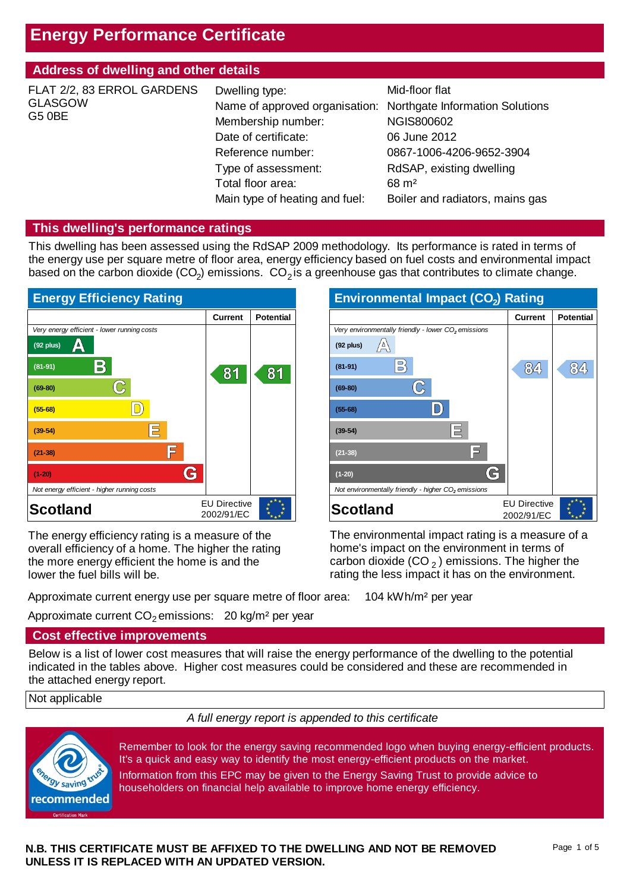# **Energy Performance Certificate**

# **Address of dwelling and other details**

| FLAT 2/2, 83 ERROL GARDENS<br><b>GLASGOW</b><br><b>G5 0BE</b> | Dwelling type:<br>Name of approved organisation: Northgate Information Solutions<br>Membership number:<br>Date of certificate:<br>Reference number:<br>Type of assessment:<br>Total floor area: | Mid-floor flat<br><b>NGIS800602</b><br>06 June 2012<br>0867-1006-4206-9652-3904<br>RdSAP, existing dwelling<br>$68 \text{ m}^2$ |
|---------------------------------------------------------------|-------------------------------------------------------------------------------------------------------------------------------------------------------------------------------------------------|---------------------------------------------------------------------------------------------------------------------------------|
|                                                               | Main type of heating and fuel:                                                                                                                                                                  | Boiler and radiators, mains gas                                                                                                 |

#### **This dwelling's performance ratings**

This dwelling has been assessed using the RdSAP 2009 methodology. Its performance is rated in terms of the energy use per square metre of floor area, energy efficiency based on fuel costs and environmental impact based on the carbon dioxide  $(CO<sub>2</sub>)$  emissions.  $CO<sub>2</sub>$  is a greenhouse gas that contributes to climate change.



The energy efficiency rating is a measure of the overall efficiency of a home. The higher the rating the more energy efficient the home is and the lower the fuel bills will be.



The environmental impact rating is a measure of a home's impact on the environment in terms of carbon dioxide (CO  $_2$  ) emissions. The higher the rating the less impact it has on the environment.

Approximate current energy use per square metre of floor area: 104 kWh/m² per year

Approximate current  $CO_2$  emissions:  $20$  kg/m<sup>2</sup> per year

#### **Cost effective improvements**

Below is a list of lower cost measures that will raise the energy performance of the dwelling to the potential indicated in the tables above. Higher cost measures could be considered and these are recommended in the attached energy report.

#### Not applicable

*A full energy report is appended to this certificate*



Remember to look for the energy saving recommended logo when buying energy-efficient products. It's a quick and easy way to identify the most energy-efficient products on the market. Information from this EPC may be given to the Energy Saving Trust to provide advice to householders on financial help available to improve home energy efficiency.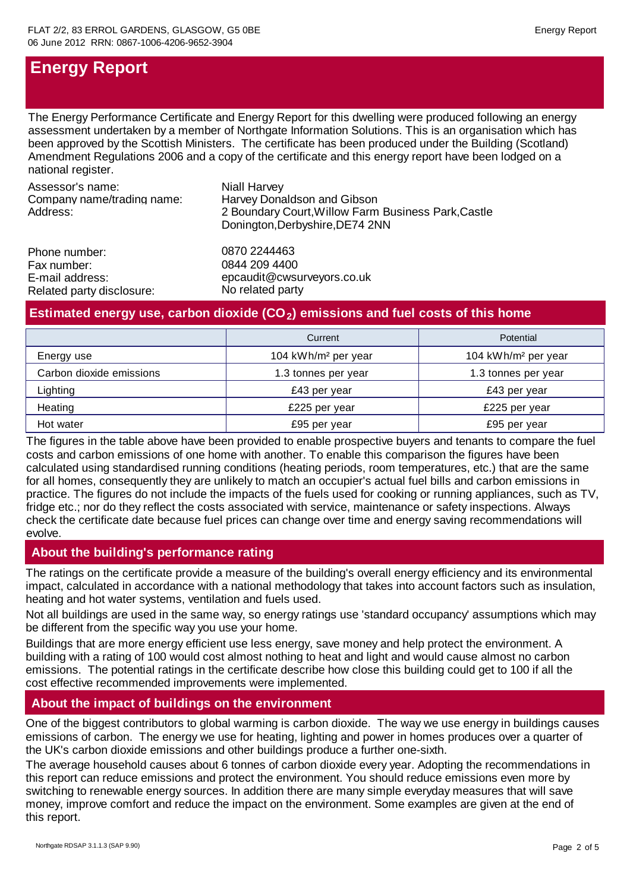# **Energy Report**

The Energy Performance Certificate and Energy Report for this dwelling were produced following an energy assessment undertaken by a member of Northgate Information Solutions. This is an organisation which has been approved by the Scottish Ministers. The certificate has been produced under the Building (Scotland) Amendment Regulations 2006 and a copy of the certificate and this energy report have been lodged on a national register.

Assessor's name: Company name/trading name: Address: Phone number: 0870 2244463 2 Boundary Court,Willow Farm Business Park,Castle Donington,Derbyshire,DE74 2NN Harvey Donaldson and Gibson Niall Harvey

Fax number: E-mail address: Related party disclosure: No related party

epcaudit@cwsurveyors.co.uk 0844 209 4400

### Estimated energy use, carbon dioxide (CO<sub>2</sub>) emissions and fuel costs of this home

|                          | Current                         | Potential                       |  |
|--------------------------|---------------------------------|---------------------------------|--|
| Energy use               | 104 kWh/m <sup>2</sup> per year | 104 kWh/m <sup>2</sup> per year |  |
| Carbon dioxide emissions | 1.3 tonnes per year             | 1.3 tonnes per year             |  |
| Lighting                 | £43 per year                    | £43 per year                    |  |
| Heating                  | £225 per year                   | £225 per year                   |  |
| Hot water                | £95 per year                    | £95 per year                    |  |

The figures in the table above have been provided to enable prospective buyers and tenants to compare the fuel costs and carbon emissions of one home with another. To enable this comparison the figures have been calculated using standardised running conditions (heating periods, room temperatures, etc.) that are the same for all homes, consequently they are unlikely to match an occupier's actual fuel bills and carbon emissions in practice. The figures do not include the impacts of the fuels used for cooking or running appliances, such as TV, fridge etc.; nor do they reflect the costs associated with service, maintenance or safety inspections. Always check the certificate date because fuel prices can change over time and energy saving recommendations will evolve.

# **About the building's performance rating**

The ratings on the certificate provide a measure of the building's overall energy efficiency and its environmental impact, calculated in accordance with a national methodology that takes into account factors such as insulation, heating and hot water systems, ventilation and fuels used.

Not all buildings are used in the same way, so energy ratings use 'standard occupancy' assumptions which may be different from the specific way you use your home.

Buildings that are more energy efficient use less energy, save money and help protect the environment. A building with a rating of 100 would cost almost nothing to heat and light and would cause almost no carbon emissions. The potential ratings in the certificate describe how close this building could get to 100 if all the cost effective recommended improvements were implemented.

# **About the impact of buildings on the environment**

One of the biggest contributors to global warming is carbon dioxide. The way we use energy in buildings causes emissions of carbon. The energy we use for heating, lighting and power in homes produces over a quarter of the UK's carbon dioxide emissions and other buildings produce a further one-sixth.

The average household causes about 6 tonnes of carbon dioxide every year. Adopting the recommendations in this report can reduce emissions and protect the environment. You should reduce emissions even more by switching to renewable energy sources. In addition there are many simple everyday measures that will save money, improve comfort and reduce the impact on the environment. Some examples are given at the end of this report.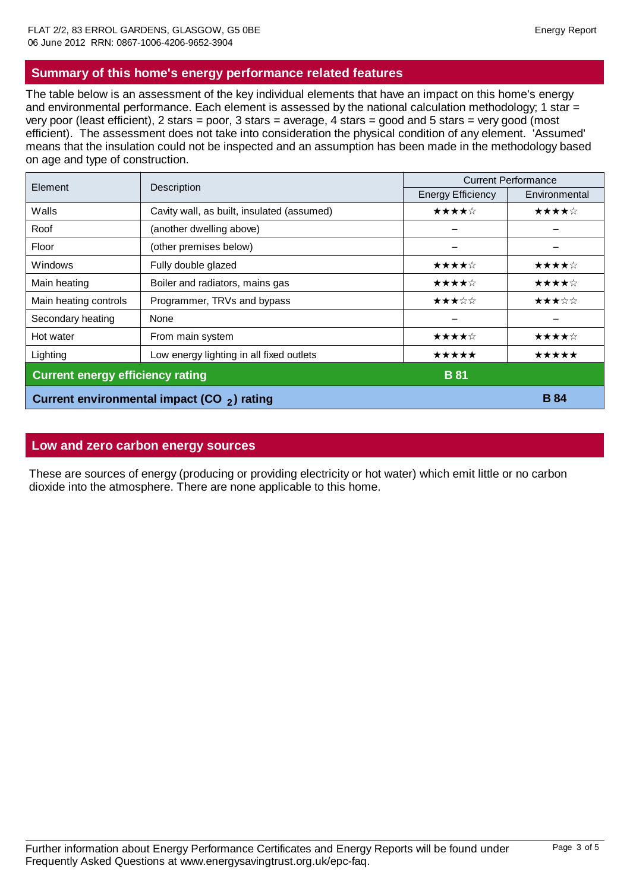## **Summary of this home's energy performance related features**

The table below is an assessment of the key individual elements that have an impact on this home's energy and environmental performance. Each element is assessed by the national calculation methodology; 1 star = very poor (least efficient), 2 stars = poor, 3 stars = average, 4 stars = good and 5 stars = very good (most efficient). The assessment does not take into consideration the physical condition of any element. 'Assumed' means that the insulation could not be inspected and an assumption has been made in the methodology based on age and type of construction.

| Element                                        | Description                                | <b>Current Performance</b> |               |  |
|------------------------------------------------|--------------------------------------------|----------------------------|---------------|--|
|                                                |                                            | <b>Energy Efficiency</b>   | Environmental |  |
| Walls                                          | Cavity wall, as built, insulated (assumed) | ★★★★☆                      | ★★★★☆         |  |
| Roof                                           | (another dwelling above)                   |                            |               |  |
| Floor                                          | (other premises below)                     |                            |               |  |
| Windows                                        | Fully double glazed                        | ★★★★☆                      | ★★★★☆         |  |
| Main heating                                   | Boiler and radiators, mains gas            | ★★★★☆                      | ★★★★☆         |  |
| Main heating controls                          | Programmer, TRVs and bypass                | ★★★☆☆                      | ★★★☆☆         |  |
| Secondary heating                              | None                                       |                            |               |  |
| Hot water                                      | From main system                           | ★★★★☆                      | ★★★★☆         |  |
| Lighting                                       | Low energy lighting in all fixed outlets   | *****                      | *****         |  |
| <b>Current energy efficiency rating</b>        |                                            | <b>B</b> 81                |               |  |
| Current environmental impact (CO $_2$ ) rating |                                            |                            | <b>B</b> 84   |  |

### **Low and zero carbon energy sources**

These are sources of energy (producing or providing electricity or hot water) which emit little or no carbon dioxide into the atmosphere. There are none applicable to this home.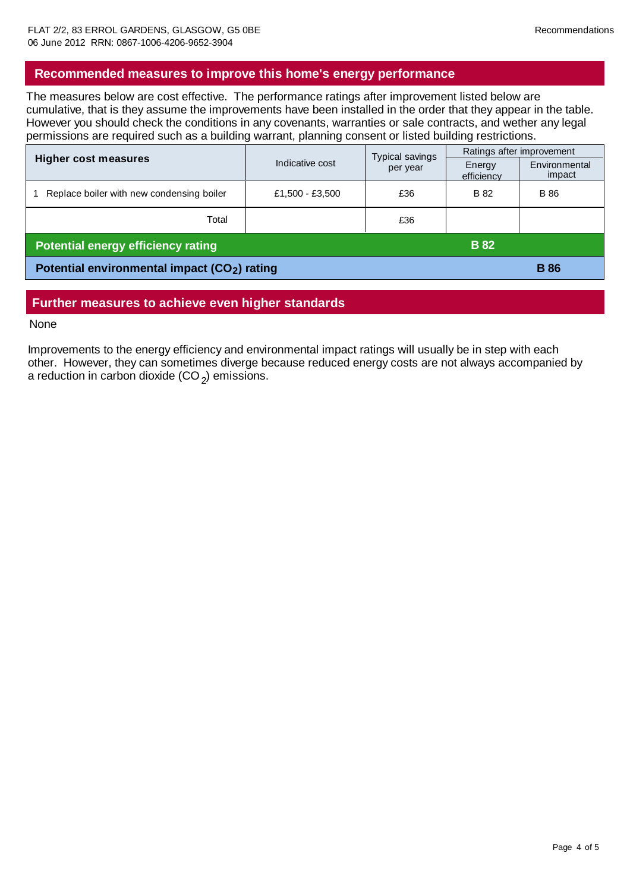#### **Recommended measures to improve this home's energy performance**

The measures below are cost effective. The performance ratings after improvement listed below are cumulative, that is they assume the improvements have been installed in the order that they appear in the table. However you should check the conditions in any covenants, warranties or sale contracts, and wether any legal permissions are required such as a building warrant, planning consent or listed building restrictions.

|                                                          | Indicative cost | Typical savings<br>per year | Ratings after improvement |                         |
|----------------------------------------------------------|-----------------|-----------------------------|---------------------------|-------------------------|
| <b>Higher cost measures</b>                              |                 |                             | Energy<br>efficiency      | Environmental<br>impact |
| Replace boiler with new condensing boiler                | £1,500 - £3,500 | £36                         | <b>B</b> 82               | <b>B</b> 86             |
| Total                                                    |                 | £36                         |                           |                         |
| <b>Potential energy efficiency rating</b>                |                 | <b>B</b> 82                 |                           |                         |
| Potential environmental impact (CO <sub>2</sub> ) rating |                 |                             |                           | <b>B</b> 86             |

### **Further measures to achieve even higher standards**

#### None

Improvements to the energy efficiency and environmental impact ratings will usually be in step with each other. However, they can sometimes diverge because reduced energy costs are not always accompanied by a reduction in carbon dioxide (CO  $_2$ ) emissions.